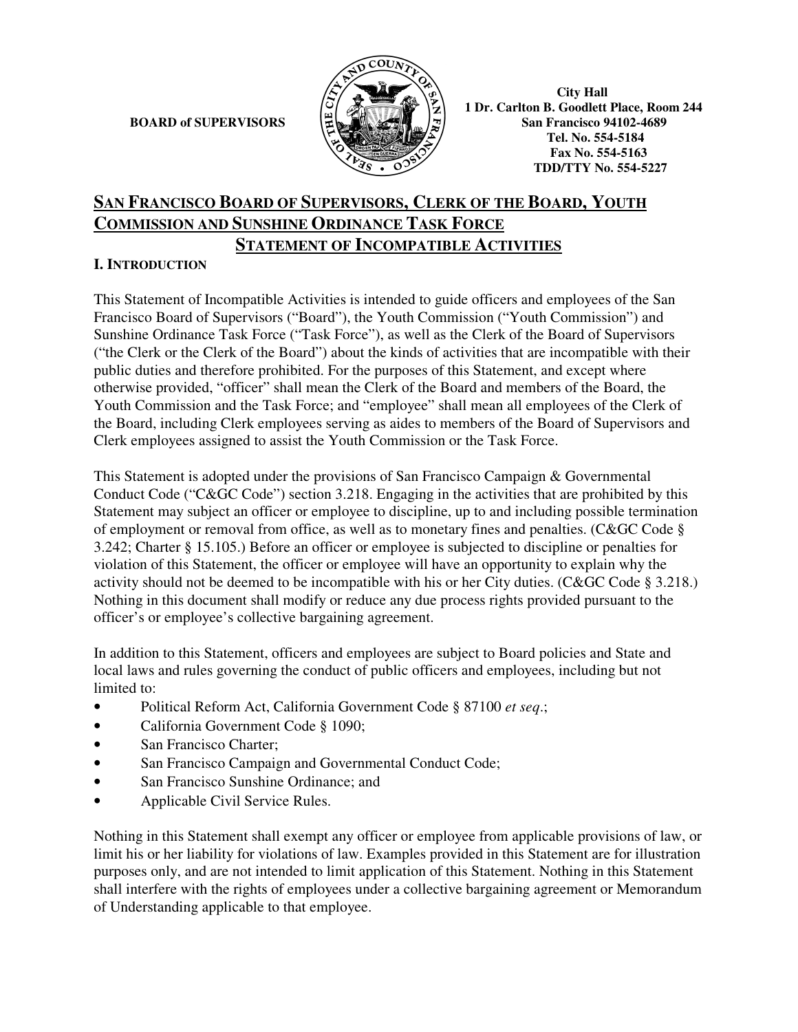

# **SAN FRANCISCO BOARD OF SUPERVISORS, CLERK OF THE BOARD, YOUTH COMMISSION AND SUNSHINE ORDINANCE TASK FORCE STATEMENT OF INCOMPATIBLE ACTIVITIES**

### **I. INTRODUCTION**

This Statement of Incompatible Activities is intended to guide officers and employees of the San Francisco Board of Supervisors ("Board"), the Youth Commission ("Youth Commission") and Sunshine Ordinance Task Force ("Task Force"), as well as the Clerk of the Board of Supervisors ("the Clerk or the Clerk of the Board") about the kinds of activities that are incompatible with their public duties and therefore prohibited. For the purposes of this Statement, and except where otherwise provided, "officer" shall mean the Clerk of the Board and members of the Board, the Youth Commission and the Task Force; and "employee" shall mean all employees of the Clerk of the Board, including Clerk employees serving as aides to members of the Board of Supervisors and Clerk employees assigned to assist the Youth Commission or the Task Force.

This Statement is adopted under the provisions of San Francisco Campaign & Governmental Conduct Code ("C&GC Code") section 3.218. Engaging in the activities that are prohibited by this Statement may subject an officer or employee to discipline, up to and including possible termination of employment or removal from office, as well as to monetary fines and penalties. (C&GC Code § 3.242; Charter § 15.105.) Before an officer or employee is subjected to discipline or penalties for violation of this Statement, the officer or employee will have an opportunity to explain why the activity should not be deemed to be incompatible with his or her City duties. (C&GC Code § 3.218.) Nothing in this document shall modify or reduce any due process rights provided pursuant to the officer's or employee's collective bargaining agreement.

In addition to this Statement, officers and employees are subject to Board policies and State and local laws and rules governing the conduct of public officers and employees, including but not limited to:

- Political Reform Act, California Government Code § 87100 *et seq*.;
- California Government Code § 1090;
- San Francisco Charter;
- San Francisco Campaign and Governmental Conduct Code;
- San Francisco Sunshine Ordinance; and
- Applicable Civil Service Rules.

Nothing in this Statement shall exempt any officer or employee from applicable provisions of law, or limit his or her liability for violations of law. Examples provided in this Statement are for illustration purposes only, and are not intended to limit application of this Statement. Nothing in this Statement shall interfere with the rights of employees under a collective bargaining agreement or Memorandum of Understanding applicable to that employee.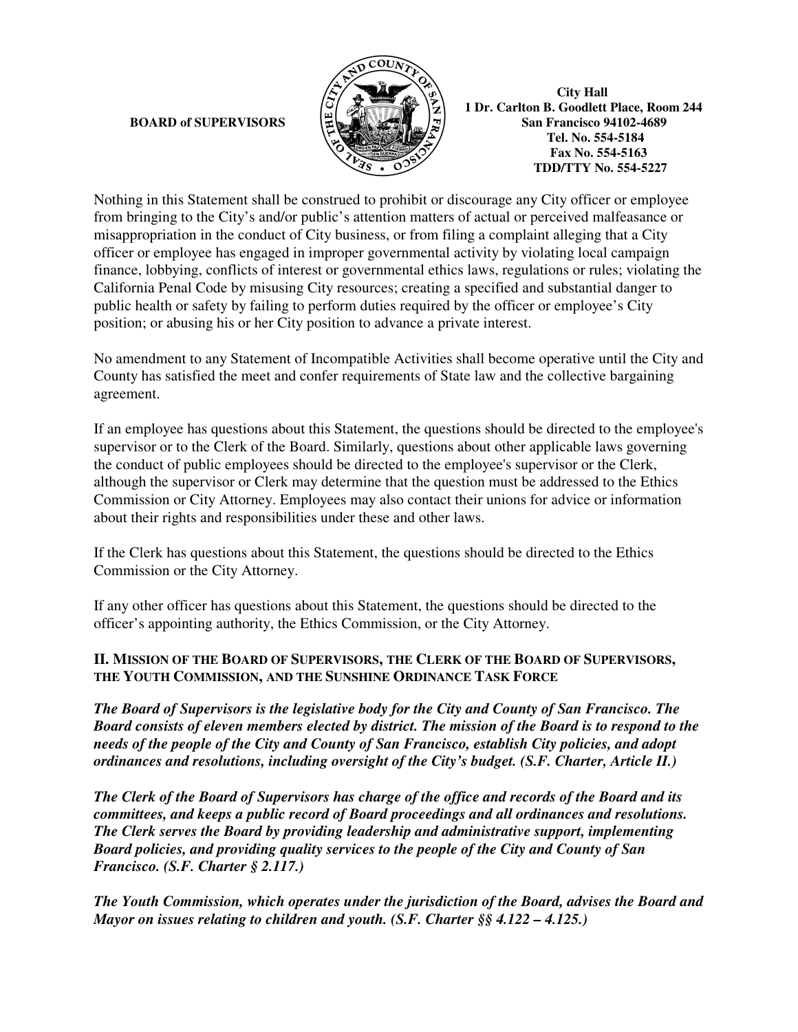

Nothing in this Statement shall be construed to prohibit or discourage any City officer or employee from bringing to the City's and/or public's attention matters of actual or perceived malfeasance or misappropriation in the conduct of City business, or from filing a complaint alleging that a City officer or employee has engaged in improper governmental activity by violating local campaign finance, lobbying, conflicts of interest or governmental ethics laws, regulations or rules; violating the California Penal Code by misusing City resources; creating a specified and substantial danger to public health or safety by failing to perform duties required by the officer or employee's City position; or abusing his or her City position to advance a private interest.

No amendment to any Statement of Incompatible Activities shall become operative until the City and County has satisfied the meet and confer requirements of State law and the collective bargaining agreement.

If an employee has questions about this Statement, the questions should be directed to the employee's supervisor or to the Clerk of the Board. Similarly, questions about other applicable laws governing the conduct of public employees should be directed to the employee's supervisor or the Clerk, although the supervisor or Clerk may determine that the question must be addressed to the Ethics Commission or City Attorney. Employees may also contact their unions for advice or information about their rights and responsibilities under these and other laws.

If the Clerk has questions about this Statement, the questions should be directed to the Ethics Commission or the City Attorney.

If any other officer has questions about this Statement, the questions should be directed to the officer's appointing authority, the Ethics Commission, or the City Attorney.

### **II. MISSION OF THE BOARD OF SUPERVISORS, THE CLERK OF THE BOARD OF SUPERVISORS, THE YOUTH COMMISSION, AND THE SUNSHINE ORDINANCE TASK FORCE**

*The Board of Supervisors is the legislative body for the City and County of San Francisco. The Board consists of eleven members elected by district. The mission of the Board is to respond to the needs of the people of the City and County of San Francisco, establish City policies, and adopt ordinances and resolutions, including oversight of the City's budget. (S.F. Charter, Article II.)* 

*The Clerk of the Board of Supervisors has charge of the office and records of the Board and its committees, and keeps a public record of Board proceedings and all ordinances and resolutions. The Clerk serves the Board by providing leadership and administrative support, implementing Board policies, and providing quality services to the people of the City and County of San Francisco. (S.F. Charter § 2.117.)* 

*The Youth Commission, which operates under the jurisdiction of the Board, advises the Board and Mayor on issues relating to children and youth. (S.F. Charter §§ 4.122 – 4.125.)*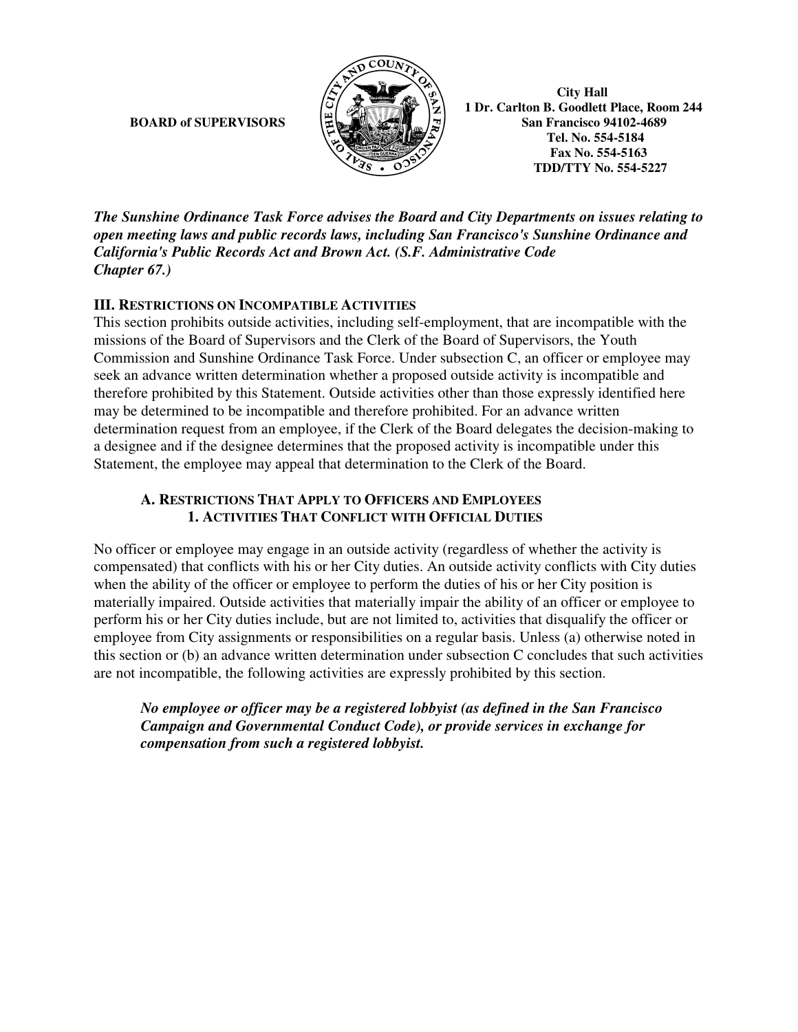

*The Sunshine Ordinance Task Force advises the Board and City Departments on issues relating to open meeting laws and public records laws, including San Francisco's Sunshine Ordinance and California's Public Records Act and Brown Act. (S.F. Administrative Code Chapter 67.)* 

### **III. RESTRICTIONS ON INCOMPATIBLE ACTIVITIES**

This section prohibits outside activities, including self-employment, that are incompatible with the missions of the Board of Supervisors and the Clerk of the Board of Supervisors, the Youth Commission and Sunshine Ordinance Task Force. Under subsection C, an officer or employee may seek an advance written determination whether a proposed outside activity is incompatible and therefore prohibited by this Statement. Outside activities other than those expressly identified here may be determined to be incompatible and therefore prohibited. For an advance written determination request from an employee, if the Clerk of the Board delegates the decision-making to a designee and if the designee determines that the proposed activity is incompatible under this Statement, the employee may appeal that determination to the Clerk of the Board.

### **A. RESTRICTIONS THAT APPLY TO OFFICERS AND EMPLOYEES 1. ACTIVITIES THAT CONFLICT WITH OFFICIAL DUTIES**

No officer or employee may engage in an outside activity (regardless of whether the activity is compensated) that conflicts with his or her City duties. An outside activity conflicts with City duties when the ability of the officer or employee to perform the duties of his or her City position is materially impaired. Outside activities that materially impair the ability of an officer or employee to perform his or her City duties include, but are not limited to, activities that disqualify the officer or employee from City assignments or responsibilities on a regular basis. Unless (a) otherwise noted in this section or (b) an advance written determination under subsection C concludes that such activities are not incompatible, the following activities are expressly prohibited by this section.

*No employee or officer may be a registered lobbyist (as defined in the San Francisco Campaign and Governmental Conduct Code), or provide services in exchange for compensation from such a registered lobbyist.*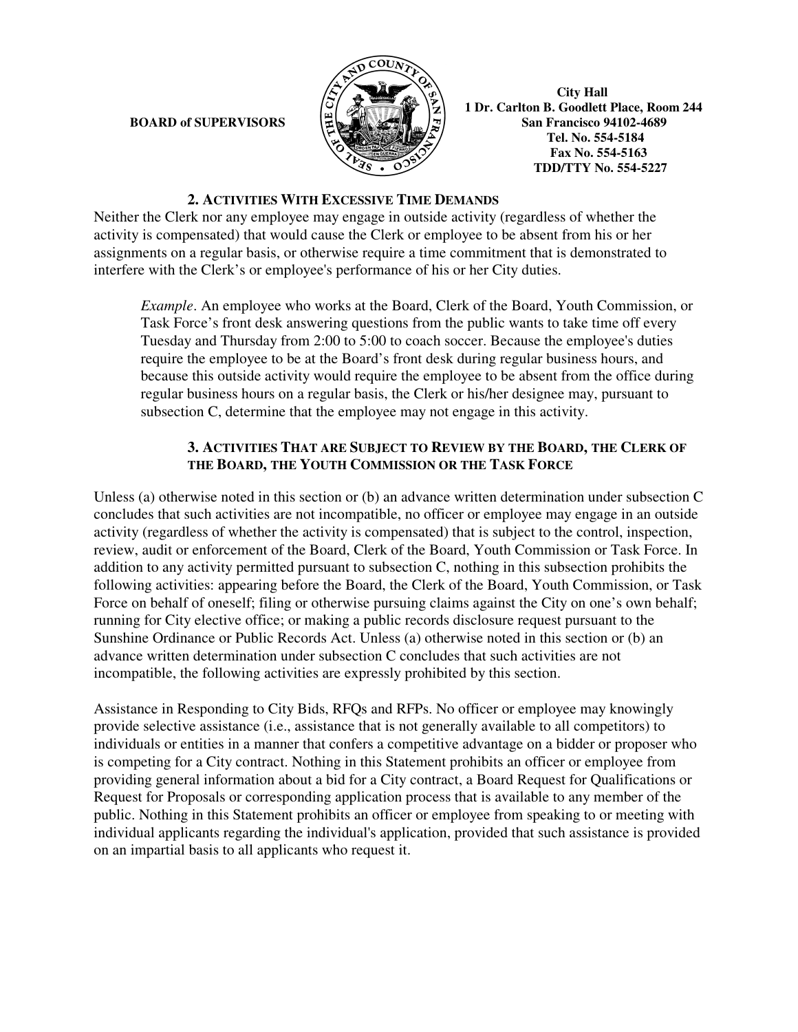

### **2. ACTIVITIES WITH EXCESSIVE TIME DEMANDS**

Neither the Clerk nor any employee may engage in outside activity (regardless of whether the activity is compensated) that would cause the Clerk or employee to be absent from his or her assignments on a regular basis, or otherwise require a time commitment that is demonstrated to interfere with the Clerk's or employee's performance of his or her City duties.

*Example*. An employee who works at the Board, Clerk of the Board, Youth Commission, or Task Force's front desk answering questions from the public wants to take time off every Tuesday and Thursday from 2:00 to 5:00 to coach soccer. Because the employee's duties require the employee to be at the Board's front desk during regular business hours, and because this outside activity would require the employee to be absent from the office during regular business hours on a regular basis, the Clerk or his/her designee may, pursuant to subsection C, determine that the employee may not engage in this activity.

### **3. ACTIVITIES THAT ARE SUBJECT TO REVIEW BY THE BOARD, THE CLERK OF THE BOARD, THE YOUTH COMMISSION OR THE TASK FORCE**

Unless (a) otherwise noted in this section or (b) an advance written determination under subsection C concludes that such activities are not incompatible, no officer or employee may engage in an outside activity (regardless of whether the activity is compensated) that is subject to the control, inspection, review, audit or enforcement of the Board, Clerk of the Board, Youth Commission or Task Force. In addition to any activity permitted pursuant to subsection C, nothing in this subsection prohibits the following activities: appearing before the Board, the Clerk of the Board, Youth Commission, or Task Force on behalf of oneself; filing or otherwise pursuing claims against the City on one's own behalf; running for City elective office; or making a public records disclosure request pursuant to the Sunshine Ordinance or Public Records Act. Unless (a) otherwise noted in this section or (b) an advance written determination under subsection C concludes that such activities are not incompatible, the following activities are expressly prohibited by this section.

Assistance in Responding to City Bids, RFQs and RFPs. No officer or employee may knowingly provide selective assistance (i.e., assistance that is not generally available to all competitors) to individuals or entities in a manner that confers a competitive advantage on a bidder or proposer who is competing for a City contract. Nothing in this Statement prohibits an officer or employee from providing general information about a bid for a City contract, a Board Request for Qualifications or Request for Proposals or corresponding application process that is available to any member of the public. Nothing in this Statement prohibits an officer or employee from speaking to or meeting with individual applicants regarding the individual's application, provided that such assistance is provided on an impartial basis to all applicants who request it.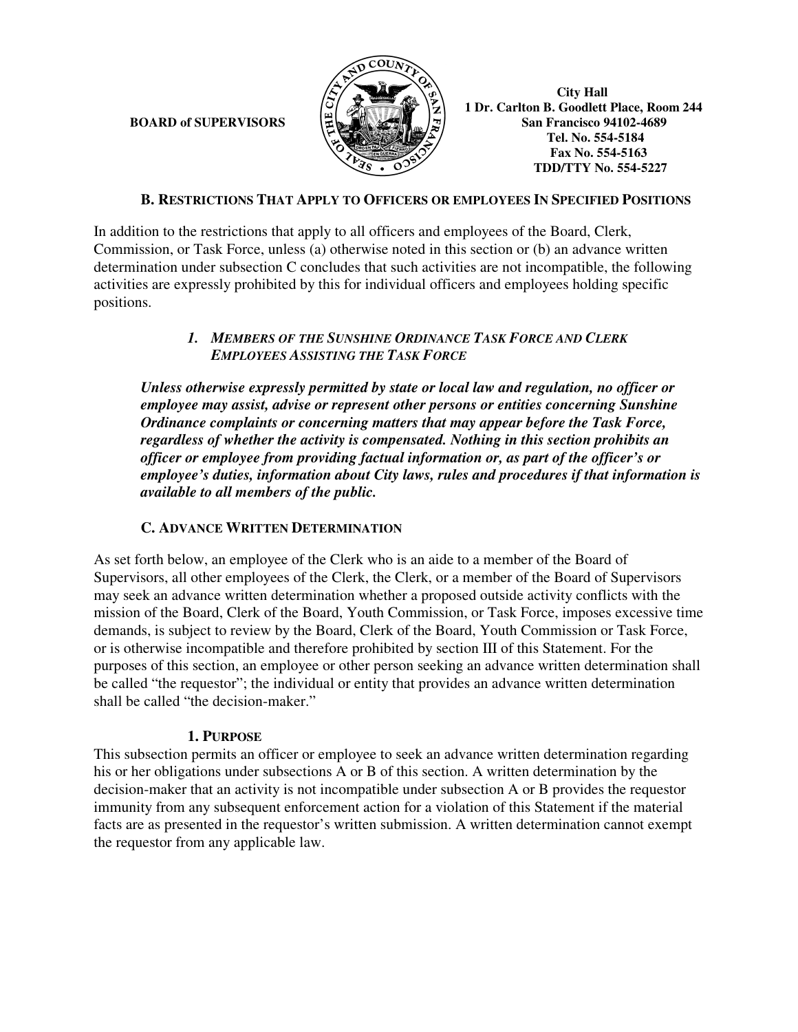

### **B. RESTRICTIONS THAT APPLY TO OFFICERS OR EMPLOYEES IN SPECIFIED POSITIONS**

In addition to the restrictions that apply to all officers and employees of the Board, Clerk, Commission, or Task Force, unless (a) otherwise noted in this section or (b) an advance written determination under subsection C concludes that such activities are not incompatible, the following activities are expressly prohibited by this for individual officers and employees holding specific positions.

### *1. MEMBERS OF THE SUNSHINE ORDINANCE TASK FORCE AND CLERK EMPLOYEES ASSISTING THE TASK FORCE*

*Unless otherwise expressly permitted by state or local law and regulation, no officer or employee may assist, advise or represent other persons or entities concerning Sunshine Ordinance complaints or concerning matters that may appear before the Task Force, regardless of whether the activity is compensated. Nothing in this section prohibits an officer or employee from providing factual information or, as part of the officer's or employee's duties, information about City laws, rules and procedures if that information is available to all members of the public.* 

### **C. ADVANCE WRITTEN DETERMINATION**

As set forth below, an employee of the Clerk who is an aide to a member of the Board of Supervisors, all other employees of the Clerk, the Clerk, or a member of the Board of Supervisors may seek an advance written determination whether a proposed outside activity conflicts with the mission of the Board, Clerk of the Board, Youth Commission, or Task Force, imposes excessive time demands, is subject to review by the Board, Clerk of the Board, Youth Commission or Task Force, or is otherwise incompatible and therefore prohibited by section III of this Statement. For the purposes of this section, an employee or other person seeking an advance written determination shall be called "the requestor"; the individual or entity that provides an advance written determination shall be called "the decision-maker."

### **1. PURPOSE**

This subsection permits an officer or employee to seek an advance written determination regarding his or her obligations under subsections A or B of this section. A written determination by the decision-maker that an activity is not incompatible under subsection A or B provides the requestor immunity from any subsequent enforcement action for a violation of this Statement if the material facts are as presented in the requestor's written submission. A written determination cannot exempt the requestor from any applicable law.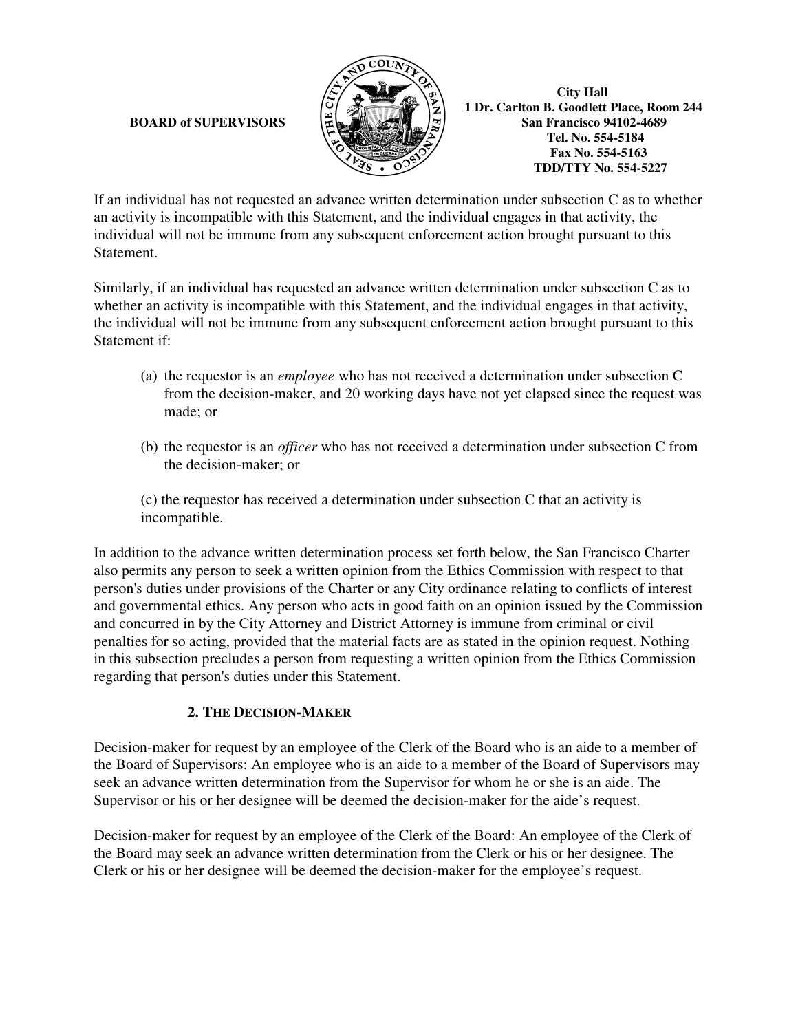

If an individual has not requested an advance written determination under subsection C as to whether an activity is incompatible with this Statement, and the individual engages in that activity, the individual will not be immune from any subsequent enforcement action brought pursuant to this **Statement** 

Similarly, if an individual has requested an advance written determination under subsection C as to whether an activity is incompatible with this Statement, and the individual engages in that activity, the individual will not be immune from any subsequent enforcement action brought pursuant to this Statement if:

- (a) the requestor is an *employee* who has not received a determination under subsection C from the decision-maker, and 20 working days have not yet elapsed since the request was made; or
- (b) the requestor is an *officer* who has not received a determination under subsection C from the decision-maker; or
- (c) the requestor has received a determination under subsection C that an activity is incompatible.

In addition to the advance written determination process set forth below, the San Francisco Charter also permits any person to seek a written opinion from the Ethics Commission with respect to that person's duties under provisions of the Charter or any City ordinance relating to conflicts of interest and governmental ethics. Any person who acts in good faith on an opinion issued by the Commission and concurred in by the City Attorney and District Attorney is immune from criminal or civil penalties for so acting, provided that the material facts are as stated in the opinion request. Nothing in this subsection precludes a person from requesting a written opinion from the Ethics Commission regarding that person's duties under this Statement.

### **2. THE DECISION-MAKER**

Decision-maker for request by an employee of the Clerk of the Board who is an aide to a member of the Board of Supervisors: An employee who is an aide to a member of the Board of Supervisors may seek an advance written determination from the Supervisor for whom he or she is an aide. The Supervisor or his or her designee will be deemed the decision-maker for the aide's request.

Decision-maker for request by an employee of the Clerk of the Board: An employee of the Clerk of the Board may seek an advance written determination from the Clerk or his or her designee. The Clerk or his or her designee will be deemed the decision-maker for the employee's request.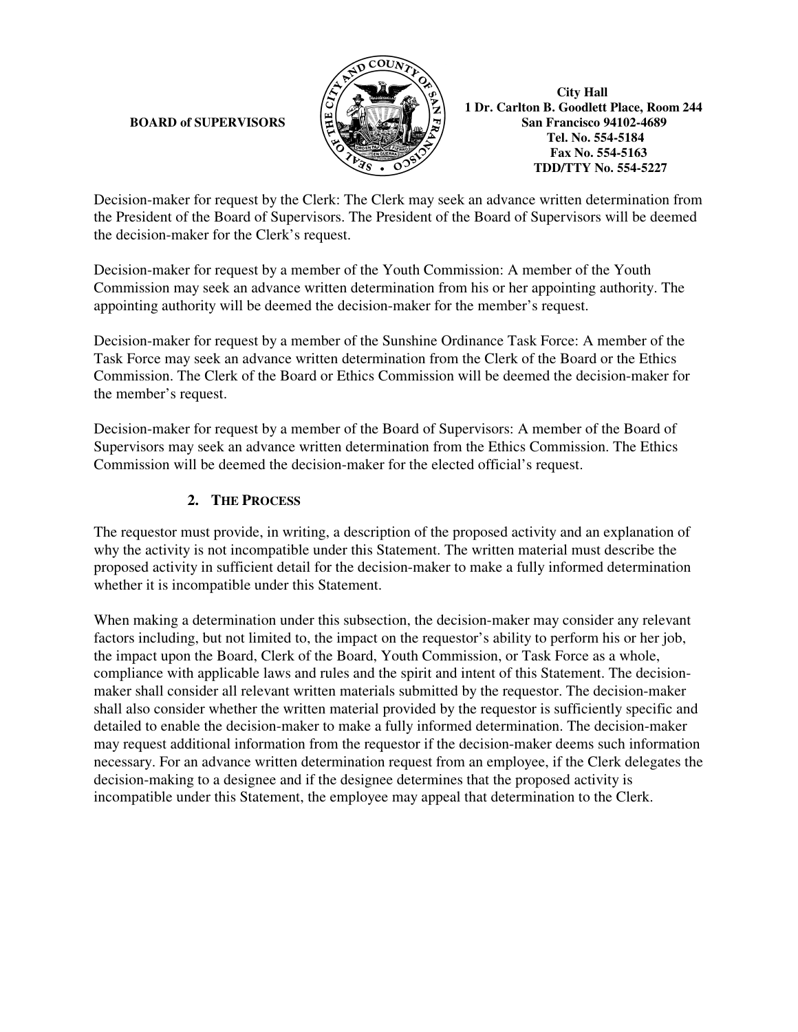

Decision-maker for request by the Clerk: The Clerk may seek an advance written determination from the President of the Board of Supervisors. The President of the Board of Supervisors will be deemed the decision-maker for the Clerk's request.

Decision-maker for request by a member of the Youth Commission: A member of the Youth Commission may seek an advance written determination from his or her appointing authority. The appointing authority will be deemed the decision-maker for the member's request.

Decision-maker for request by a member of the Sunshine Ordinance Task Force: A member of the Task Force may seek an advance written determination from the Clerk of the Board or the Ethics Commission. The Clerk of the Board or Ethics Commission will be deemed the decision-maker for the member's request.

Decision-maker for request by a member of the Board of Supervisors: A member of the Board of Supervisors may seek an advance written determination from the Ethics Commission. The Ethics Commission will be deemed the decision-maker for the elected official's request.

### **2. THE PROCESS**

The requestor must provide, in writing, a description of the proposed activity and an explanation of why the activity is not incompatible under this Statement. The written material must describe the proposed activity in sufficient detail for the decision-maker to make a fully informed determination whether it is incompatible under this Statement.

When making a determination under this subsection, the decision-maker may consider any relevant factors including, but not limited to, the impact on the requestor's ability to perform his or her job, the impact upon the Board, Clerk of the Board, Youth Commission, or Task Force as a whole, compliance with applicable laws and rules and the spirit and intent of this Statement. The decisionmaker shall consider all relevant written materials submitted by the requestor. The decision-maker shall also consider whether the written material provided by the requestor is sufficiently specific and detailed to enable the decision-maker to make a fully informed determination. The decision-maker may request additional information from the requestor if the decision-maker deems such information necessary. For an advance written determination request from an employee, if the Clerk delegates the decision-making to a designee and if the designee determines that the proposed activity is incompatible under this Statement, the employee may appeal that determination to the Clerk.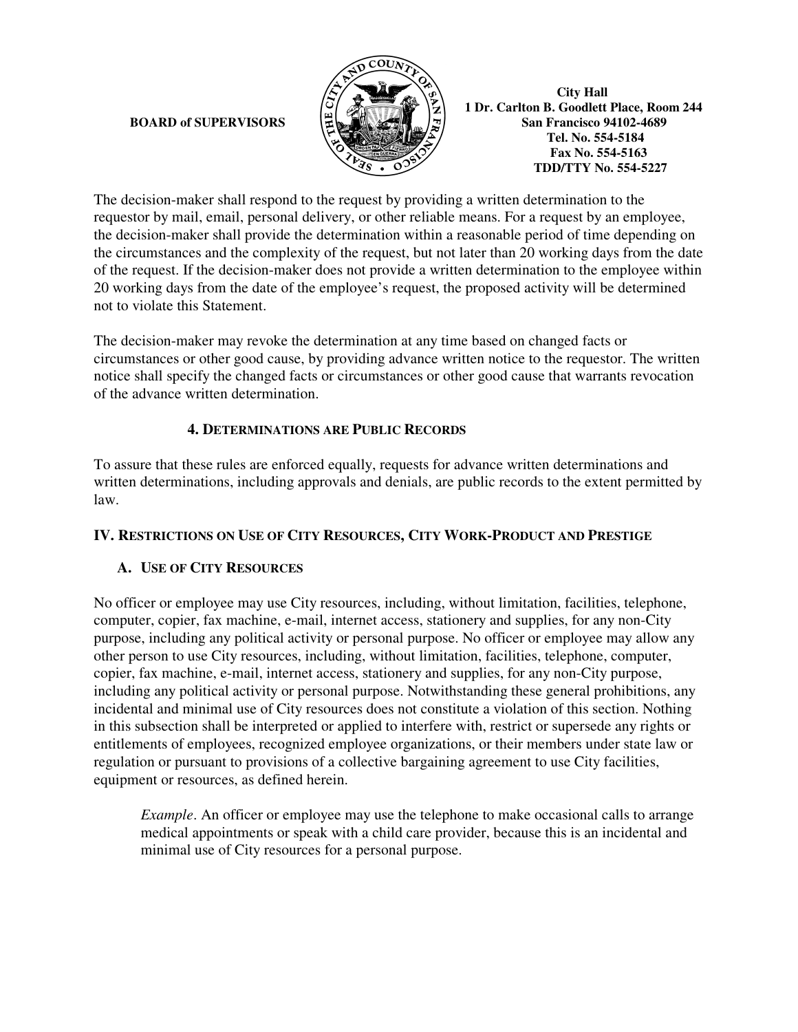

The decision-maker shall respond to the request by providing a written determination to the requestor by mail, email, personal delivery, or other reliable means. For a request by an employee, the decision-maker shall provide the determination within a reasonable period of time depending on the circumstances and the complexity of the request, but not later than 20 working days from the date of the request. If the decision-maker does not provide a written determination to the employee within 20 working days from the date of the employee's request, the proposed activity will be determined not to violate this Statement.

The decision-maker may revoke the determination at any time based on changed facts or circumstances or other good cause, by providing advance written notice to the requestor. The written notice shall specify the changed facts or circumstances or other good cause that warrants revocation of the advance written determination.

### **4. DETERMINATIONS ARE PUBLIC RECORDS**

To assure that these rules are enforced equally, requests for advance written determinations and written determinations, including approvals and denials, are public records to the extent permitted by law.

### **IV. RESTRICTIONS ON USE OF CITY RESOURCES, CITY WORK-PRODUCT AND PRESTIGE**

### **A. USE OF CITY RESOURCES**

No officer or employee may use City resources, including, without limitation, facilities, telephone, computer, copier, fax machine, e-mail, internet access, stationery and supplies, for any non-City purpose, including any political activity or personal purpose. No officer or employee may allow any other person to use City resources, including, without limitation, facilities, telephone, computer, copier, fax machine, e-mail, internet access, stationery and supplies, for any non-City purpose, including any political activity or personal purpose. Notwithstanding these general prohibitions, any incidental and minimal use of City resources does not constitute a violation of this section. Nothing in this subsection shall be interpreted or applied to interfere with, restrict or supersede any rights or entitlements of employees, recognized employee organizations, or their members under state law or regulation or pursuant to provisions of a collective bargaining agreement to use City facilities, equipment or resources, as defined herein.

*Example*. An officer or employee may use the telephone to make occasional calls to arrange medical appointments or speak with a child care provider, because this is an incidental and minimal use of City resources for a personal purpose.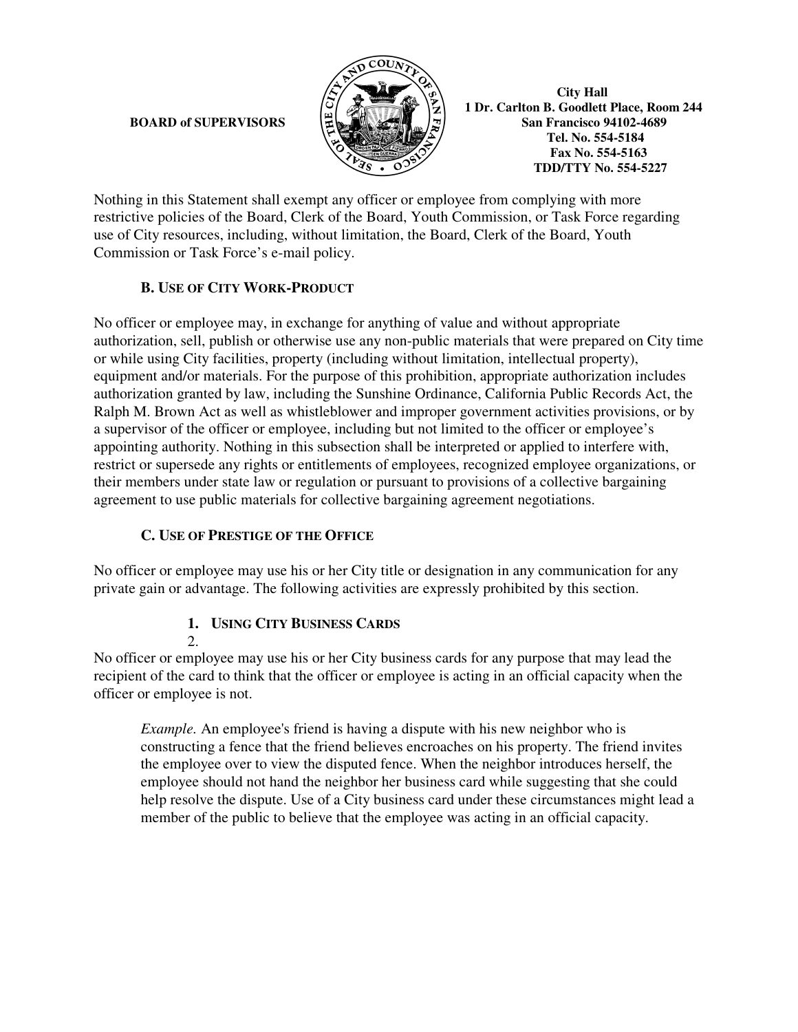

Nothing in this Statement shall exempt any officer or employee from complying with more restrictive policies of the Board, Clerk of the Board, Youth Commission, or Task Force regarding use of City resources, including, without limitation, the Board, Clerk of the Board, Youth Commission or Task Force's e-mail policy.

### **B. USE OF CITY WORK-PRODUCT**

No officer or employee may, in exchange for anything of value and without appropriate authorization, sell, publish or otherwise use any non-public materials that were prepared on City time or while using City facilities, property (including without limitation, intellectual property), equipment and/or materials. For the purpose of this prohibition, appropriate authorization includes authorization granted by law, including the Sunshine Ordinance, California Public Records Act, the Ralph M. Brown Act as well as whistleblower and improper government activities provisions, or by a supervisor of the officer or employee, including but not limited to the officer or employee's appointing authority. Nothing in this subsection shall be interpreted or applied to interfere with, restrict or supersede any rights or entitlements of employees, recognized employee organizations, or their members under state law or regulation or pursuant to provisions of a collective bargaining agreement to use public materials for collective bargaining agreement negotiations.

### **C. USE OF PRESTIGE OF THE OFFICE**

No officer or employee may use his or her City title or designation in any communication for any private gain or advantage. The following activities are expressly prohibited by this section.

### **1. USING CITY BUSINESS CARDS**  2.

No officer or employee may use his or her City business cards for any purpose that may lead the recipient of the card to think that the officer or employee is acting in an official capacity when the officer or employee is not.

*Example.* An employee's friend is having a dispute with his new neighbor who is constructing a fence that the friend believes encroaches on his property. The friend invites the employee over to view the disputed fence. When the neighbor introduces herself, the employee should not hand the neighbor her business card while suggesting that she could help resolve the dispute. Use of a City business card under these circumstances might lead a member of the public to believe that the employee was acting in an official capacity.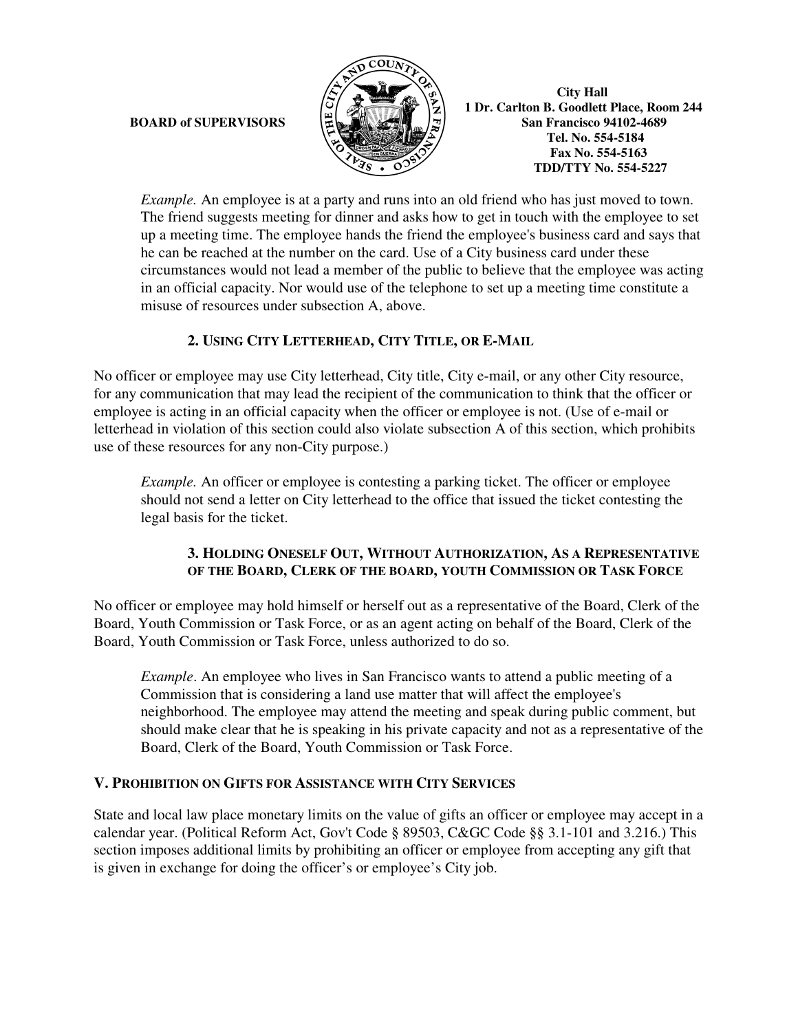

 **1 Dr. Carlton B. Goodlett Place, Room 244 BOARD of SUPERVISORS**  $\left|\frac{m}{2}\right| \leq \left|\frac{m}{2}\right|$  San Francisco 94102-4689  **Tel. No. 554-5184 Fax No. 554-5163 TDD/TTY No. 554-5227** 

*Example.* An employee is at a party and runs into an old friend who has just moved to town. The friend suggests meeting for dinner and asks how to get in touch with the employee to set up a meeting time. The employee hands the friend the employee's business card and says that he can be reached at the number on the card. Use of a City business card under these circumstances would not lead a member of the public to believe that the employee was acting in an official capacity. Nor would use of the telephone to set up a meeting time constitute a misuse of resources under subsection A, above.

## **2. USING CITY LETTERHEAD, CITY TITLE, OR E-MAIL**

No officer or employee may use City letterhead, City title, City e-mail, or any other City resource, for any communication that may lead the recipient of the communication to think that the officer or employee is acting in an official capacity when the officer or employee is not. (Use of e-mail or letterhead in violation of this section could also violate subsection A of this section, which prohibits use of these resources for any non-City purpose.)

*Example.* An officer or employee is contesting a parking ticket. The officer or employee should not send a letter on City letterhead to the office that issued the ticket contesting the legal basis for the ticket.

### **3. HOLDING ONESELF OUT, WITHOUT AUTHORIZATION, AS A REPRESENTATIVE OF THE BOARD, CLERK OF THE BOARD, YOUTH COMMISSION OR TASK FORCE**

No officer or employee may hold himself or herself out as a representative of the Board, Clerk of the Board, Youth Commission or Task Force, or as an agent acting on behalf of the Board, Clerk of the Board, Youth Commission or Task Force, unless authorized to do so.

*Example*. An employee who lives in San Francisco wants to attend a public meeting of a Commission that is considering a land use matter that will affect the employee's neighborhood. The employee may attend the meeting and speak during public comment, but should make clear that he is speaking in his private capacity and not as a representative of the Board, Clerk of the Board, Youth Commission or Task Force.

### **V. PROHIBITION ON GIFTS FOR ASSISTANCE WITH CITY SERVICES**

State and local law place monetary limits on the value of gifts an officer or employee may accept in a calendar year. (Political Reform Act, Gov't Code § 89503, C&GC Code §§ 3.1-101 and 3.216.) This section imposes additional limits by prohibiting an officer or employee from accepting any gift that is given in exchange for doing the officer's or employee's City job.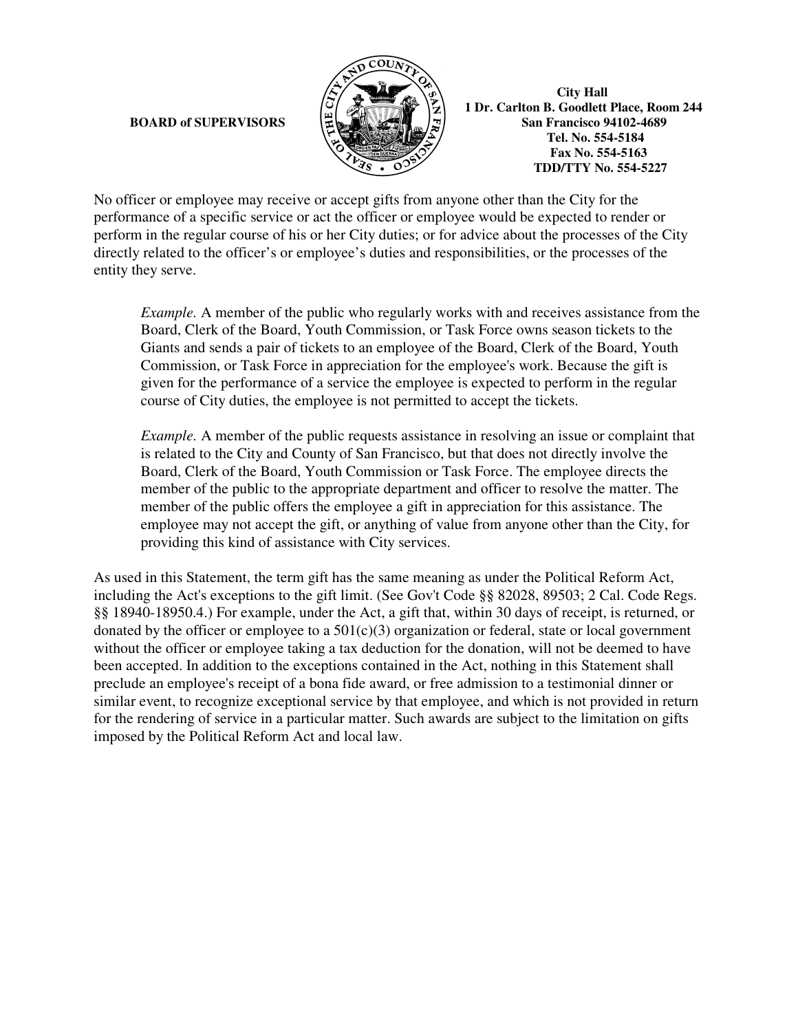

No officer or employee may receive or accept gifts from anyone other than the City for the performance of a specific service or act the officer or employee would be expected to render or perform in the regular course of his or her City duties; or for advice about the processes of the City directly related to the officer's or employee's duties and responsibilities, or the processes of the entity they serve.

*Example.* A member of the public who regularly works with and receives assistance from the Board, Clerk of the Board, Youth Commission, or Task Force owns season tickets to the Giants and sends a pair of tickets to an employee of the Board, Clerk of the Board, Youth Commission, or Task Force in appreciation for the employee's work. Because the gift is given for the performance of a service the employee is expected to perform in the regular course of City duties, the employee is not permitted to accept the tickets.

*Example.* A member of the public requests assistance in resolving an issue or complaint that is related to the City and County of San Francisco, but that does not directly involve the Board, Clerk of the Board, Youth Commission or Task Force. The employee directs the member of the public to the appropriate department and officer to resolve the matter. The member of the public offers the employee a gift in appreciation for this assistance. The employee may not accept the gift, or anything of value from anyone other than the City, for providing this kind of assistance with City services.

As used in this Statement, the term gift has the same meaning as under the Political Reform Act, including the Act's exceptions to the gift limit. (See Gov't Code §§ 82028, 89503; 2 Cal. Code Regs. §§ 18940-18950.4.) For example, under the Act, a gift that, within 30 days of receipt, is returned, or donated by the officer or employee to a  $501(c)(3)$  organization or federal, state or local government without the officer or employee taking a tax deduction for the donation, will not be deemed to have been accepted. In addition to the exceptions contained in the Act, nothing in this Statement shall preclude an employee's receipt of a bona fide award, or free admission to a testimonial dinner or similar event, to recognize exceptional service by that employee, and which is not provided in return for the rendering of service in a particular matter. Such awards are subject to the limitation on gifts imposed by the Political Reform Act and local law.